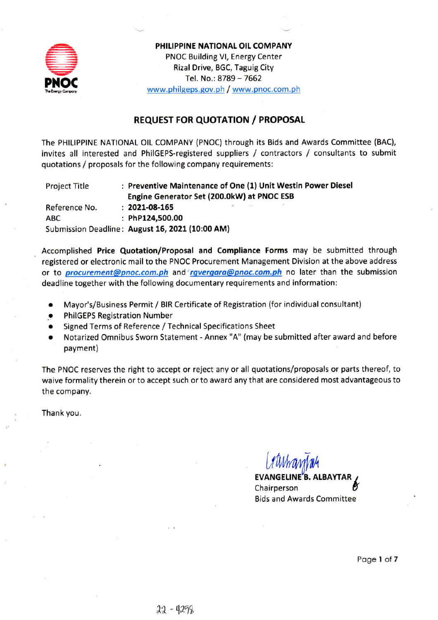

PHILIPPINE NATIONAL OIL COMPANY PNOC Building VI, Energy Center Rizal Drive, BGC, Taguig City Tel. No.: 8789 - 7662 www.philgeps.gov.ph / www.pnoc.com.ph

## **REQUEST FOR QUOTATION / PROPOSAL**

The PHILIPPINE NATIONAL OIL COMPANY (PNOC) through its Bids and Awards Committee (BAC), invites all interested and PhilGEPS-registered suppliers / contractors / consultants to submit quotations / proposals for the following company requirements:

: Preventive Maintenance of One (1) Unit Westin Power Diesel **Project Title** Engine Generator Set (200.0kW) at PNOC ESB Reference No.  $: 2021 - 08 - 165$ : PhP124,500.00 **ABC** Submission Deadline: August 16, 2021 (10:00 AM)

Accomplished Price Quotation/Proposal and Compliance Forms may be submitted through registered or electronic mail to the PNOC Procurement Management Division at the above address or to *procurement@pnoc.com.ph* and *rgvergara@pnoc.com.ph* no later than the submission deadline together with the following documentary requirements and information:

- Mayor's/Business Permit / BIR Certificate of Registration (for individual consultant)  $\bullet$
- **PhilGEPS Registration Number**
- Signed Terms of Reference / Technical Specifications Sheet
- Notarized Omnibus Sworn Statement Annex "A" (may be submitted after award and before payment)

The PNOC reserves the right to accept or reject any or all quotations/proposals or parts thereof, to waive formality therein or to accept such or to award any that are considered most advantageous to the company.

Thank you.

**EVANGELINE'B. ALBAYTAR** Chairperson **Bids and Awards Committee**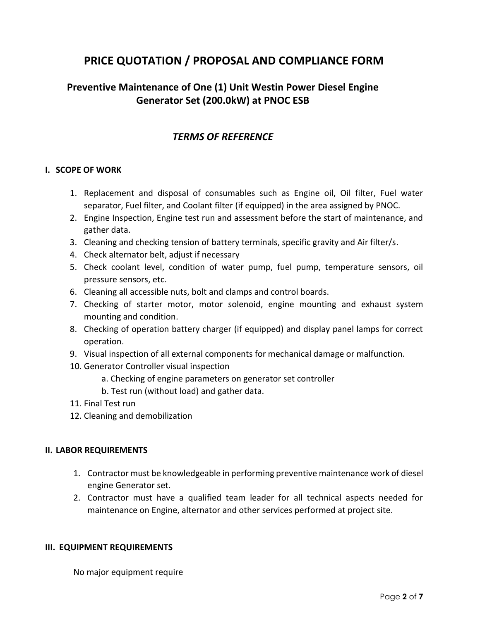# **PRICE QUOTATION / PROPOSAL AND COMPLIANCE FORM**

## **Preventive Maintenance of One (1) Unit Westin Power Diesel Engine Generator Set (200.0kW) at PNOC ESB**

## *TERMS OF REFERENCE*

### **I. SCOPE OF WORK**

- 1. Replacement and disposal of consumables such as Engine oil, Oil filter, Fuel water separator, Fuel filter, and Coolant filter (if equipped) in the area assigned by PNOC.
- 2. Engine Inspection, Engine test run and assessment before the start of maintenance, and gather data.
- 3. Cleaning and checking tension of battery terminals, specific gravity and Air filter/s.
- 4. Check alternator belt, adjust if necessary
- 5. Check coolant level, condition of water pump, fuel pump, temperature sensors, oil pressure sensors, etc.
- 6. Cleaning all accessible nuts, bolt and clamps and control boards.
- 7. Checking of starter motor, motor solenoid, engine mounting and exhaust system mounting and condition.
- 8. Checking of operation battery charger (if equipped) and display panel lamps for correct operation.
- 9. Visual inspection of all external components for mechanical damage or malfunction.
- 10. Generator Controller visual inspection
	- a. Checking of engine parameters on generator set controller
	- b. Test run (without load) and gather data.
- 11. Final Test run
- 12. Cleaning and demobilization

### **II. LABOR REQUIREMENTS**

- 1. Contractor must be knowledgeable in performing preventive maintenance work of diesel engine Generator set.
- 2. Contractor must have a qualified team leader for all technical aspects needed for maintenance on Engine, alternator and other services performed at project site.

#### **III. EQUIPMENT REQUIREMENTS**

No major equipment require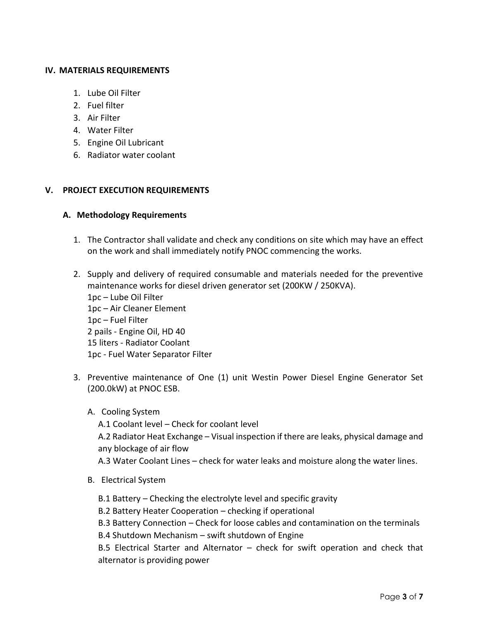### **IV. MATERIALS REQUIREMENTS**

- 1. Lube Oil Filter
- 2. Fuel filter
- 3. Air Filter
- 4. Water Filter
- 5. Engine Oil Lubricant
- 6. Radiator water coolant

## **V. PROJECT EXECUTION REQUIREMENTS**

## **A. Methodology Requirements**

- 1. The Contractor shall validate and check any conditions on site which may have an effect on the work and shall immediately notify PNOC commencing the works.
- 2. Supply and delivery of required consumable and materials needed for the preventive maintenance works for diesel driven generator set (200KW / 250KVA). 1pc – Lube Oil Filter 1pc – Air Cleaner Element 1pc – Fuel Filter 2 pails - Engine Oil, HD 40 15 liters - Radiator Coolant 1pc - Fuel Water Separator Filter
- 3. Preventive maintenance of One (1) unit Westin Power Diesel Engine Generator Set (200.0kW) at PNOC ESB.
	- A. Cooling System

A.1 Coolant level – Check for coolant level

A.2 Radiator Heat Exchange – Visual inspection if there are leaks, physical damage and any blockage of air flow

A.3 Water Coolant Lines – check for water leaks and moisture along the water lines.

- B. Electrical System
	- B.1 Battery Checking the electrolyte level and specific gravity
	- B.2 Battery Heater Cooperation checking if operational

B.3 Battery Connection – Check for loose cables and contamination on the terminals

B.4 Shutdown Mechanism – swift shutdown of Engine

B.5 Electrical Starter and Alternator – check for swift operation and check that alternator is providing power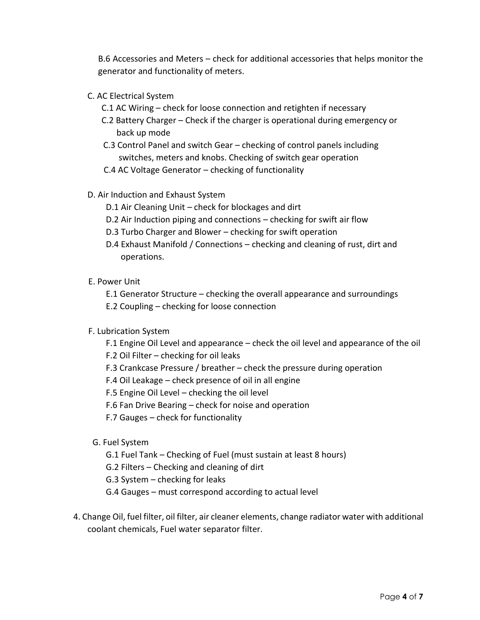B.6 Accessories and Meters – check for additional accessories that helps monitor the generator and functionality of meters.

- C. AC Electrical System
	- C.1 AC Wiring check for loose connection and retighten if necessary
	- C.2 Battery Charger Check if the charger is operational during emergency or back up mode
	- C.3 Control Panel and switch Gear checking of control panels including switches, meters and knobs. Checking of switch gear operation
	- C.4 AC Voltage Generator checking of functionality
- D. Air Induction and Exhaust System
	- D.1 Air Cleaning Unit check for blockages and dirt
	- D.2 Air Induction piping and connections checking for swift air flow
	- D.3 Turbo Charger and Blower checking for swift operation
	- D.4 Exhaust Manifold / Connections checking and cleaning of rust, dirt and operations.

### E. Power Unit

- E.1 Generator Structure checking the overall appearance and surroundings
- E.2 Coupling checking for loose connection
- F. Lubrication System
	- F.1 Engine Oil Level and appearance check the oil level and appearance of the oil
	- F.2 Oil Filter checking for oil leaks
	- F.3 Crankcase Pressure / breather check the pressure during operation
	- F.4 Oil Leakage check presence of oil in all engine
	- F.5 Engine Oil Level checking the oil level
	- F.6 Fan Drive Bearing check for noise and operation
	- F.7 Gauges check for functionality
- G. Fuel System
	- G.1 Fuel Tank Checking of Fuel (must sustain at least 8 hours)
	- G.2 Filters Checking and cleaning of dirt
	- G.3 System checking for leaks
	- G.4 Gauges must correspond according to actual level
- 4. Change Oil, fuel filter, oil filter, air cleaner elements, change radiator water with additional coolant chemicals, Fuel water separator filter.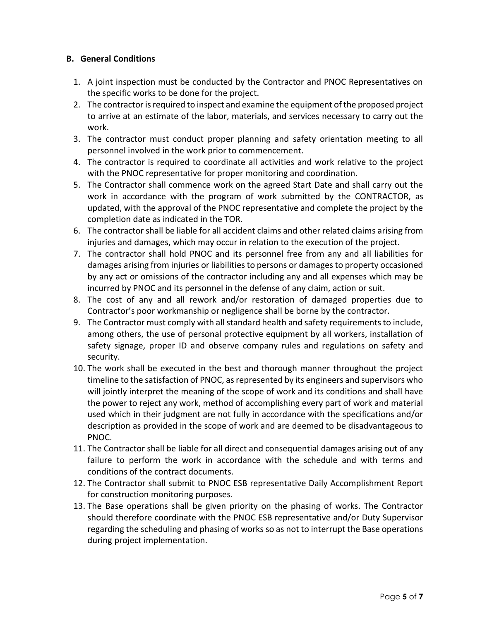## **B. General Conditions**

- 1. A joint inspection must be conducted by the Contractor and PNOC Representatives on the specific works to be done for the project.
- 2. The contractor is required to inspect and examine the equipment of the proposed project to arrive at an estimate of the labor, materials, and services necessary to carry out the work.
- 3. The contractor must conduct proper planning and safety orientation meeting to all personnel involved in the work prior to commencement.
- 4. The contractor is required to coordinate all activities and work relative to the project with the PNOC representative for proper monitoring and coordination.
- 5. The Contractor shall commence work on the agreed Start Date and shall carry out the work in accordance with the program of work submitted by the CONTRACTOR, as updated, with the approval of the PNOC representative and complete the project by the completion date as indicated in the TOR.
- 6. The contractor shall be liable for all accident claims and other related claims arising from injuries and damages, which may occur in relation to the execution of the project.
- 7. The contractor shall hold PNOC and its personnel free from any and all liabilities for damages arising from injuries or liabilities to persons or damages to property occasioned by any act or omissions of the contractor including any and all expenses which may be incurred by PNOC and its personnel in the defense of any claim, action or suit.
- 8. The cost of any and all rework and/or restoration of damaged properties due to Contractor's poor workmanship or negligence shall be borne by the contractor.
- 9. The Contractor must comply with all standard health and safety requirements to include, among others, the use of personal protective equipment by all workers, installation of safety signage, proper ID and observe company rules and regulations on safety and security.
- 10. The work shall be executed in the best and thorough manner throughout the project timeline to the satisfaction of PNOC, as represented by its engineers and supervisors who will jointly interpret the meaning of the scope of work and its conditions and shall have the power to reject any work, method of accomplishing every part of work and material used which in their judgment are not fully in accordance with the specifications and/or description as provided in the scope of work and are deemed to be disadvantageous to PNOC.
- 11. The Contractor shall be liable for all direct and consequential damages arising out of any failure to perform the work in accordance with the schedule and with terms and conditions of the contract documents.
- 12. The Contractor shall submit to PNOC ESB representative Daily Accomplishment Report for construction monitoring purposes.
- 13. The Base operations shall be given priority on the phasing of works. The Contractor should therefore coordinate with the PNOC ESB representative and/or Duty Supervisor regarding the scheduling and phasing of works so as not to interrupt the Base operations during project implementation.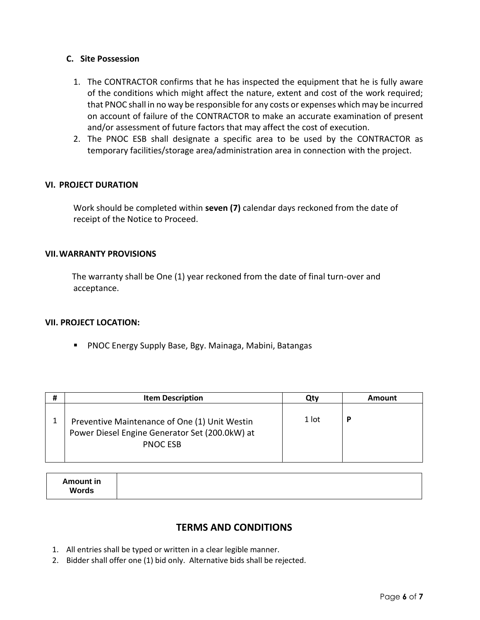### **C. Site Possession**

- 1. The CONTRACTOR confirms that he has inspected the equipment that he is fully aware of the conditions which might affect the nature, extent and cost of the work required; that PNOC shall in no way be responsible for any costs or expenses which may be incurred on account of failure of the CONTRACTOR to make an accurate examination of present and/or assessment of future factors that may affect the cost of execution.
- 2. The PNOC ESB shall designate a specific area to be used by the CONTRACTOR as temporary facilities/storage area/administration area in connection with the project.

#### **VI. PROJECT DURATION**

Work should be completed within **seven (7)** calendar days reckoned from the date of receipt of the Notice to Proceed.

#### **VII.WARRANTY PROVISIONS**

 The warranty shall be One (1) year reckoned from the date of final turn-over and acceptance.

#### **VII. PROJECT LOCATION:**

**PNOC Energy Supply Base, Bgy. Mainaga, Mabini, Batangas** 

| # | <b>Item Description</b>                                                                                            | Qtv   | <b>Amount</b> |
|---|--------------------------------------------------------------------------------------------------------------------|-------|---------------|
|   | Preventive Maintenance of One (1) Unit Westin<br>Power Diesel Engine Generator Set (200.0kW) at<br><b>PNOC ESB</b> | 1 lot | D             |

| <b>Amount in</b><br><b>Words</b> |  |  |
|----------------------------------|--|--|
|----------------------------------|--|--|

## **TERMS AND CONDITIONS**

- 1. All entries shall be typed or written in a clear legible manner.
- 2. Bidder shall offer one (1) bid only. Alternative bids shall be rejected.